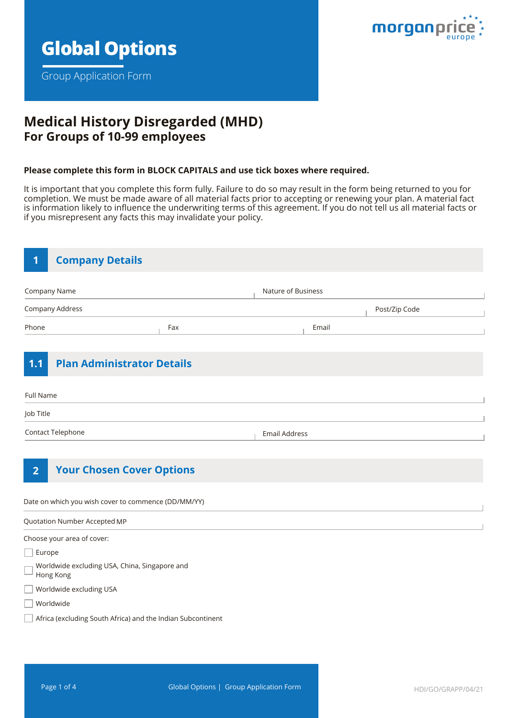

Group Application Form



# **Medical History Disregarded (MHD) For Groups of 10-99 employees**

#### **Please complete this form in BLOCK CAPITALS and use tick boxes where required.**

It is important that you complete this form fully. Failure to do so may result in the form being returned to you for completion. We must be made aware of all material facts prior to accepting or renewing your plan. A material fact is information likely to influence the underwriting terms of this agreement. If you do not tell us all material facts or if you misrepresent any facts this may invalidate your policy.

| <b>Company Details</b><br>1  |                                                     |                      |       |               |
|------------------------------|-----------------------------------------------------|----------------------|-------|---------------|
| Company Name                 |                                                     | Nature of Business   |       |               |
| Company Address              |                                                     |                      |       | Post/Zip Code |
| Phone                        | Fax                                                 |                      | Email |               |
| 1.1                          | <b>Plan Administrator Details</b>                   |                      |       |               |
| Full Name                    |                                                     |                      |       |               |
| Job Title                    |                                                     |                      |       |               |
| Contact Telephone            |                                                     | <b>Email Address</b> |       |               |
| $\overline{2}$               | <b>Your Chosen Cover Options</b>                    |                      |       |               |
|                              | Date on which you wish cover to commence (DD/MM/YY) |                      |       |               |
| Quotation Number Accepted MP |                                                     |                      |       |               |
| Choose your area of cover:   |                                                     |                      |       |               |
| Europe                       |                                                     |                      |       |               |
| Hong Kong                    | Worldwide excluding USA, China, Singapore and       |                      |       |               |
| Worldwide excluding USA      |                                                     |                      |       |               |
| Worldwide                    |                                                     |                      |       |               |

Africa (excluding South Africa) and the Indian Subcontinent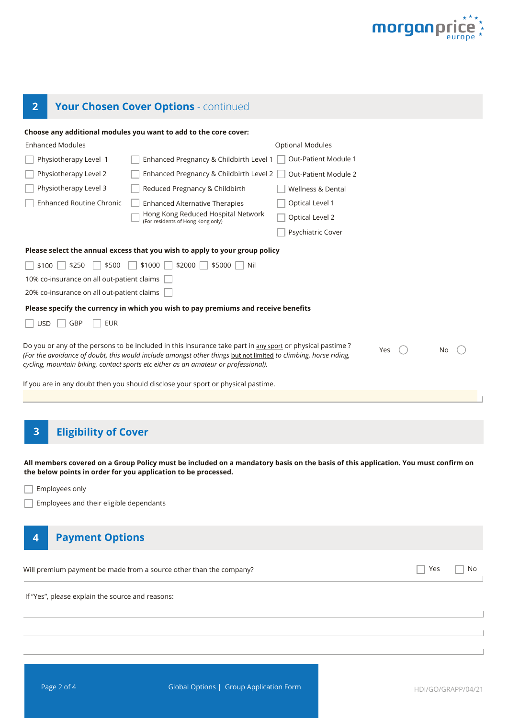

# **2 Your Chosen Cover Options** - continued

|                                                  | Choose any additional modules you want to add to the core cover:                                                                                                                                                                                                                                                    |                              |     |    |
|--------------------------------------------------|---------------------------------------------------------------------------------------------------------------------------------------------------------------------------------------------------------------------------------------------------------------------------------------------------------------------|------------------------------|-----|----|
| <b>Enhanced Modules</b>                          |                                                                                                                                                                                                                                                                                                                     | <b>Optional Modules</b>      |     |    |
| Physiotherapy Level 1                            | Enhanced Pregnancy & Childbirth Level 1                                                                                                                                                                                                                                                                             | Out-Patient Module 1         |     |    |
| Physiotherapy Level 2                            | Enhanced Pregnancy & Childbirth Level 2                                                                                                                                                                                                                                                                             | Out-Patient Module 2         |     |    |
| Physiotherapy Level 3                            | Reduced Pregnancy & Childbirth                                                                                                                                                                                                                                                                                      | <b>Wellness &amp; Dental</b> |     |    |
| <b>Enhanced Routine Chronic</b>                  | <b>Enhanced Alternative Therapies</b>                                                                                                                                                                                                                                                                               | Optical Level 1              |     |    |
|                                                  | Hong Kong Reduced Hospital Network<br>(For residents of Hong Kong only)                                                                                                                                                                                                                                             | Optical Level 2              |     |    |
|                                                  |                                                                                                                                                                                                                                                                                                                     | Psychiatric Cover            |     |    |
|                                                  | Please select the annual excess that you wish to apply to your group policy                                                                                                                                                                                                                                         |                              |     |    |
| $ $   \$250<br>\$500<br>\$100                    | \$1000<br>$$2000$    <br>\$5000<br>Nil                                                                                                                                                                                                                                                                              |                              |     |    |
| 10% co-insurance on all out-patient claims       |                                                                                                                                                                                                                                                                                                                     |                              |     |    |
| 20% co-insurance on all out-patient claims       |                                                                                                                                                                                                                                                                                                                     |                              |     |    |
|                                                  | Please specify the currency in which you wish to pay premiums and receive benefits                                                                                                                                                                                                                                  |                              |     |    |
| <b>EUR</b><br><b>USD</b><br>GBP                  |                                                                                                                                                                                                                                                                                                                     |                              |     |    |
|                                                  |                                                                                                                                                                                                                                                                                                                     |                              |     |    |
|                                                  | Do you or any of the persons to be included in this insurance take part in any sport or physical pastime?<br>(For the avoidance of doubt, this would include amongst other things but not limited to climbing, horse riding,<br>cycling, mountain biking, contact sports etc either as an amateur or professional). | Yes                          | No  |    |
|                                                  | If you are in any doubt then you should disclose your sport or physical pastime.                                                                                                                                                                                                                                    |                              |     |    |
|                                                  |                                                                                                                                                                                                                                                                                                                     |                              |     |    |
|                                                  |                                                                                                                                                                                                                                                                                                                     |                              |     |    |
| <b>Eligibility of Cover</b><br>3                 |                                                                                                                                                                                                                                                                                                                     |                              |     |    |
|                                                  |                                                                                                                                                                                                                                                                                                                     |                              |     |    |
|                                                  |                                                                                                                                                                                                                                                                                                                     |                              |     |    |
|                                                  | All members covered on a Group Policy must be included on a mandatory basis on the basis of this application. You must confirm on<br>the below points in order for you application to be processed.                                                                                                                 |                              |     |    |
| Employees only                                   |                                                                                                                                                                                                                                                                                                                     |                              |     |    |
| Employees and their eligible dependants          |                                                                                                                                                                                                                                                                                                                     |                              |     |    |
|                                                  |                                                                                                                                                                                                                                                                                                                     |                              |     |    |
| <b>Payment Options</b><br>4                      |                                                                                                                                                                                                                                                                                                                     |                              |     |    |
|                                                  | Will premium payment be made from a source other than the company?                                                                                                                                                                                                                                                  |                              | Yes | No |
| If "Yes", please explain the source and reasons: |                                                                                                                                                                                                                                                                                                                     |                              |     |    |
|                                                  |                                                                                                                                                                                                                                                                                                                     |                              |     |    |
|                                                  |                                                                                                                                                                                                                                                                                                                     |                              |     |    |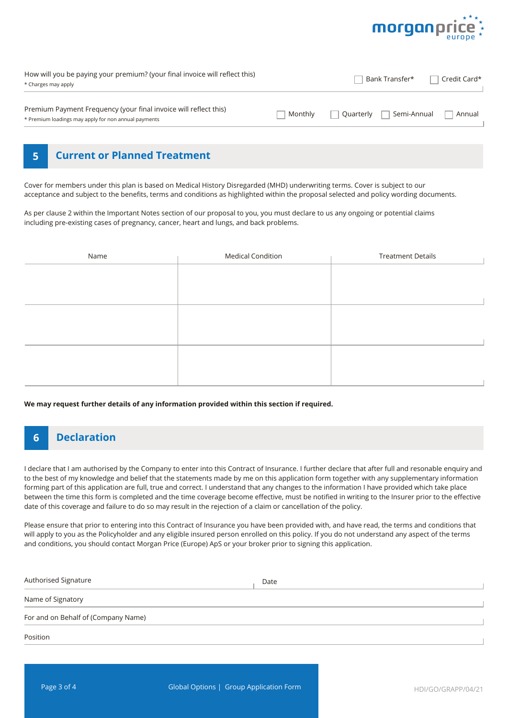

| How will you be paying your premium? (your final invoice will reflect this)<br>* Charges may apply                       |         | Bank Transfer*           | Credit Card* |
|--------------------------------------------------------------------------------------------------------------------------|---------|--------------------------|--------------|
| Premium Payment Frequency (your final invoice will reflect this)<br>* Premium loadings may apply for non annual payments | Monthly | Semi-Annual<br>Ouarterly | Annual       |

#### **5 Current or Planned Treatment**

Cover for members under this plan is based on Medical History Disregarded (MHD) underwriting terms. Cover is subject to our acceptance and subject to the benefits, terms and conditions as highlighted within the proposal selected and policy wording documents.

As per clause 2 within the Important Notes section of our proposal to you, you must declare to us any ongoing or potential claims including pre-existing cases of pregnancy, cancer, heart and lungs, and back problems.

| Name | <b>Medical Condition</b> | <b>Treatment Details</b> |
|------|--------------------------|--------------------------|
|      |                          |                          |
|      |                          |                          |
|      |                          |                          |
|      |                          |                          |
|      |                          |                          |
|      |                          |                          |
|      |                          |                          |
|      |                          |                          |
|      |                          |                          |

**We may request further details of any information provided within this section if required.**

# **6 Declaration**

I declare that I am authorised by the Company to enter into this Contract of Insurance. I further declare that after full and resonable enquiry and to the best of my knowledge and belief that the statements made by me on this application form together with any supplementary information forming part of this application are full, true and correct. I understand that any changes to the information I have provided which take place between the time this form is completed and the time coverage become effective, must be notified in writing to the Insurer prior to the effective date of this coverage and failure to do so may result in the rejection of a claim or cancellation of the policy.

Please ensure that prior to entering into this Contract of Insurance you have been provided with, and have read, the terms and conditions that will apply to you as the Policyholder and any eligible insured person enrolled on this policy. If you do not understand any aspect of the terms and conditions, you should contact Morgan Price (Europe) ApS or your broker prior to signing this application.

| Authorised Signature                | Date |
|-------------------------------------|------|
| Name of Signatory                   |      |
| For and on Behalf of (Company Name) |      |
| Position                            |      |